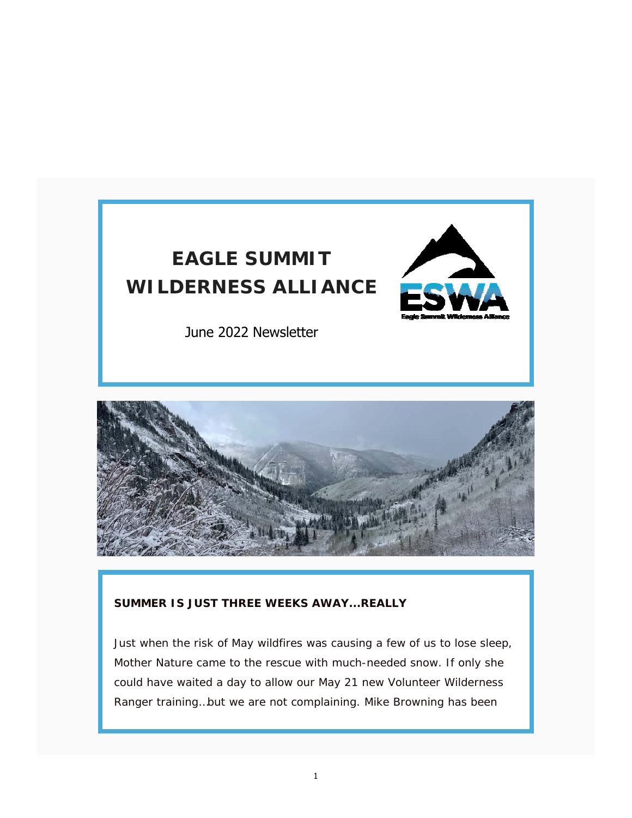



### **SUMMER IS JUST THREE WEEKS AWAY...REALLY**

Just when the risk of May wildfires was causing a few of us to lose sleep, Mother Nature came to the rescue with much-needed snow. If only she could have waited a day to allow our May 21 new Volunteer Wilderness Ranger training…but we are not complaining. Mike Browning has been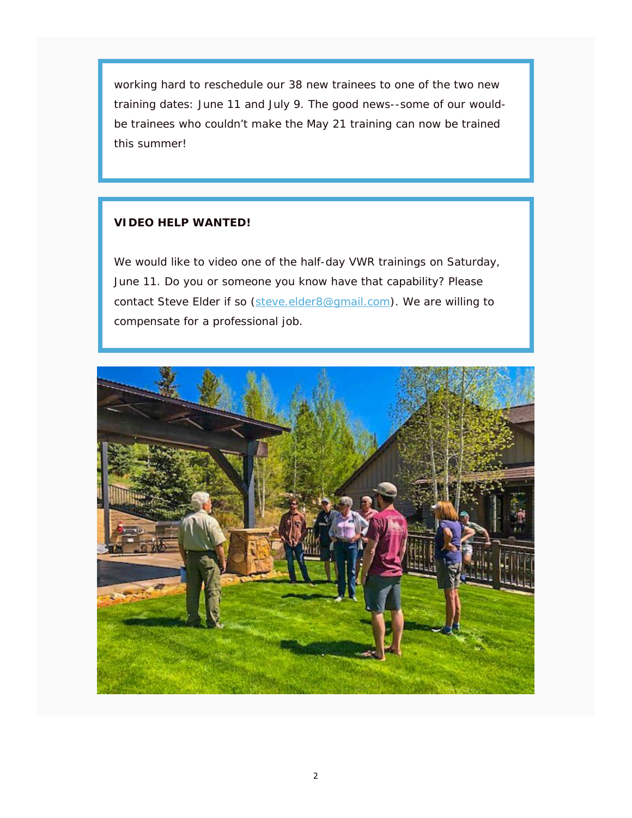working hard to reschedule our 38 new trainees to one of the two new training dates: June 11 and July 9. The good news--some of our wouldbe trainees who couldn't make the May 21 training can now be trained this summer!

## **VIDEO HELP WANTED!**

We would like to video one of the half-day VWR trainings on Saturday, June 11. Do you or someone you know have that capability? Please contact Steve Elder if so (steve.elder8@gmail.com). We are willing to compensate for a professional job.

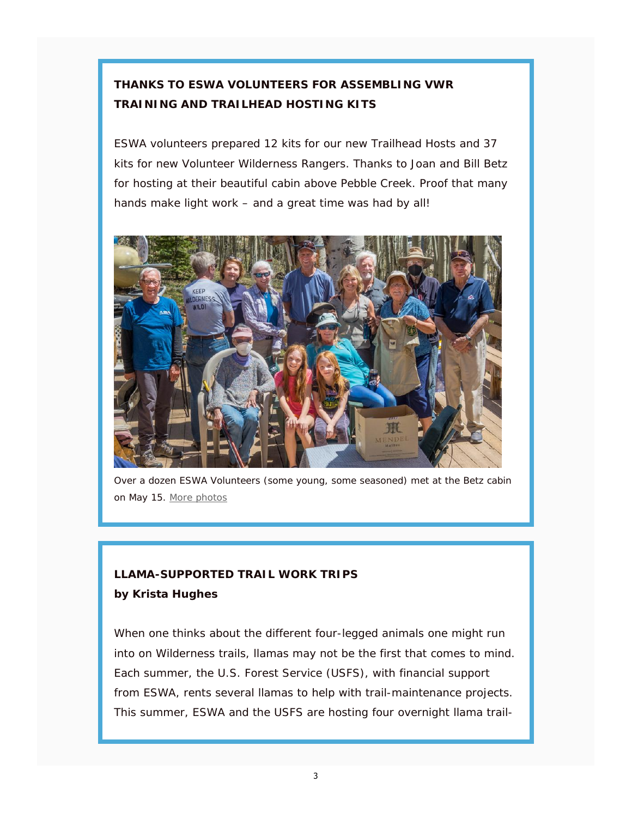# **THANKS TO ESWA VOLUNTEERS FOR ASSEMBLING VWR TRAINING AND TRAILHEAD HOSTING KITS**

ESWA volunteers prepared 12 kits for our new Trailhead Hosts and 37 kits for new Volunteer Wilderness Rangers. Thanks to Joan and Bill Betz for hosting at their beautiful cabin above Pebble Creek. Proof that many hands make light work – and a great time was had by all!



Over a dozen ESWA Volunteers (some young, some seasoned) met at the Betz cabin on May 15. More photos

## **LLAMA-SUPPORTED TRAIL WORK TRIPS by Krista Hughes**

When one thinks about the different four-legged animals one might run into on Wilderness trails, llamas may not be the first that comes to mind. Each summer, the U.S. Forest Service (USFS), with financial support from ESWA, rents several llamas to help with trail-maintenance projects. This summer, ESWA and the USFS are hosting four overnight llama trail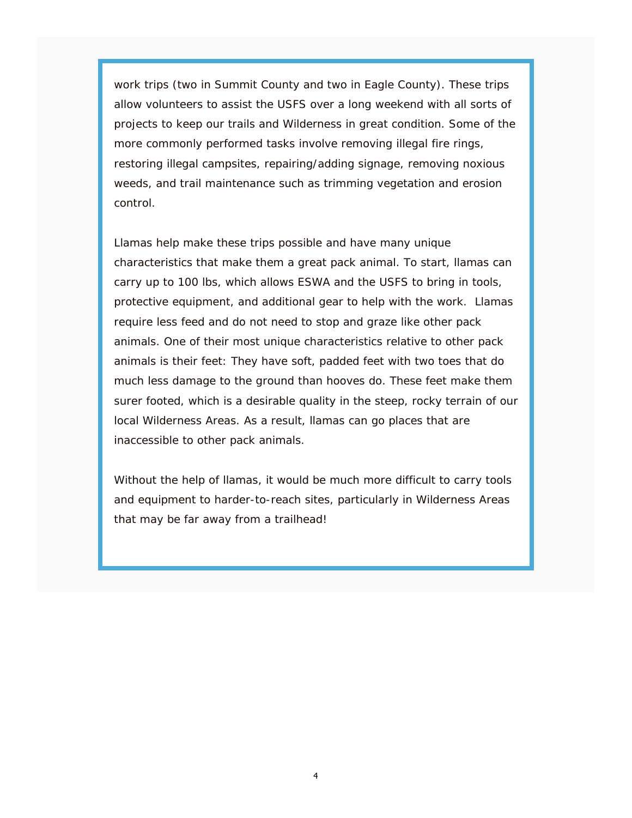work trips (two in Summit County and two in Eagle County). These trips allow volunteers to assist the USFS over a long weekend with all sorts of projects to keep our trails and Wilderness in great condition. Some of the more commonly performed tasks involve removing illegal fire rings, restoring illegal campsites, repairing/adding signage, removing noxious weeds, and trail maintenance such as trimming vegetation and erosion control.

Llamas help make these trips possible and have many unique characteristics that make them a great pack animal. To start, llamas can carry up to 100 lbs, which allows ESWA and the USFS to bring in tools, protective equipment, and additional gear to help with the work. Llamas require less feed and do not need to stop and graze like other pack animals. One of their most unique characteristics relative to other pack animals is their feet: They have soft, padded feet with two toes that do much less damage to the ground than hooves do. These feet make them surer footed, which is a desirable quality in the steep, rocky terrain of our local Wilderness Areas. As a result, llamas can go places that are inaccessible to other pack animals.

Without the help of llamas, it would be much more difficult to carry tools and equipment to harder-to-reach sites, particularly in Wilderness Areas that may be far away from a trailhead!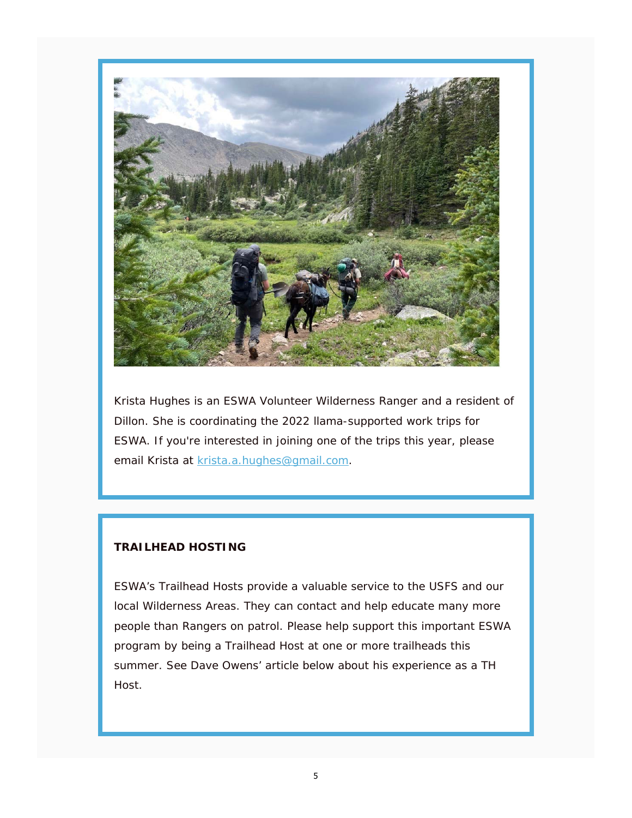

Krista Hughes is an ESWA Volunteer Wilderness Ranger and a resident of Dillon. She is coordinating the 2022 llama-supported work trips for ESWA. If you're interested in joining one of the trips this year, please email Krista at krista.a.hughes@gmail.com.

## **TRAILHEAD HOSTING**

ESWA's Trailhead Hosts provide a valuable service to the USFS and our local Wilderness Areas. They can contact and help educate many more people than Rangers on patrol. Please help support this important ESWA program by being a Trailhead Host at one or more trailheads this summer. See Dave Owens' article below about his experience as a TH Host.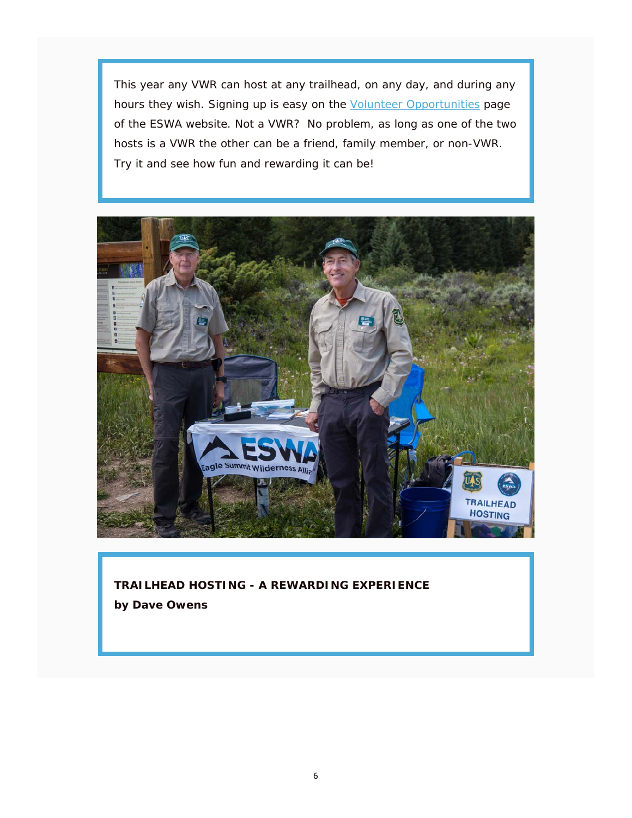This year any VWR can host at any trailhead, on any day, and during any hours they wish. Signing up is easy on the Volunteer Opportunities page of the ESWA website. Not a VWR? No problem, as long as one of the two hosts is a VWR the other can be a friend, family member, or non-VWR. Try it and see how fun and rewarding it can be!



**TRAILHEAD HOSTING - A REWARDING EXPERIENCE by Dave Owens**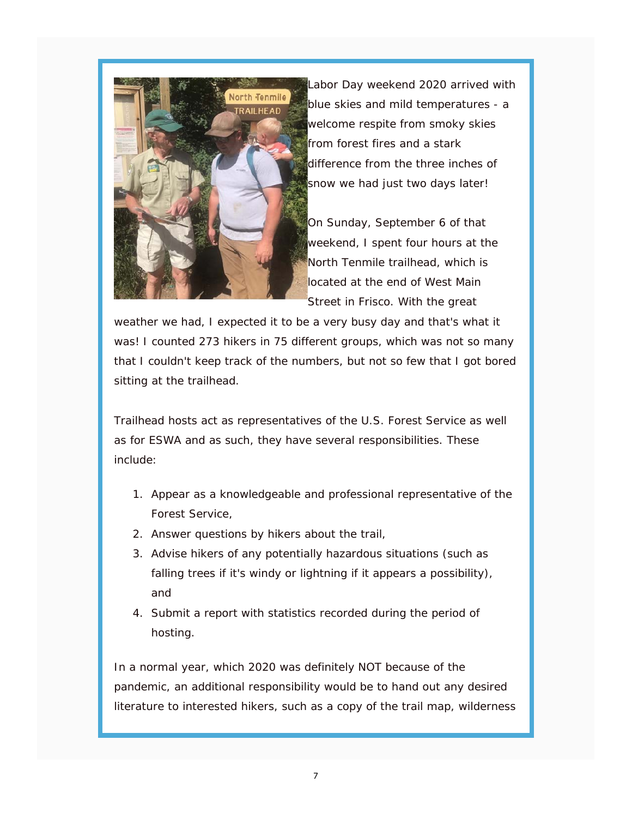

Labor Day weekend 2020 arrived with blue skies and mild temperatures - a welcome respite from smoky skies from forest fires and a stark difference from the three inches of snow we had just two days later!

On Sunday, September 6 of that weekend, I spent four hours at the North Tenmile trailhead, which is located at the end of West Main Street in Frisco. With the great

weather we had, I expected it to be a very busy day and that's what it was! I counted 273 hikers in 75 different groups, which was not so many that I couldn't keep track of the numbers, but not so few that I got bored sitting at the trailhead.

Trailhead hosts act as representatives of the U.S. Forest Service as well as for ESWA and as such, they have several responsibilities. These include:

- 1. Appear as a knowledgeable and professional representative of the Forest Service,
- 2. Answer questions by hikers about the trail,
- 3. Advise hikers of any potentially hazardous situations (such as falling trees if it's windy or lightning if it appears a possibility), and
- 4. Submit a report with statistics recorded during the period of hosting.

In a normal year, which 2020 was definitely NOT because of the pandemic, an additional responsibility would be to hand out any desired literature to interested hikers, such as a copy of the trail map, wilderness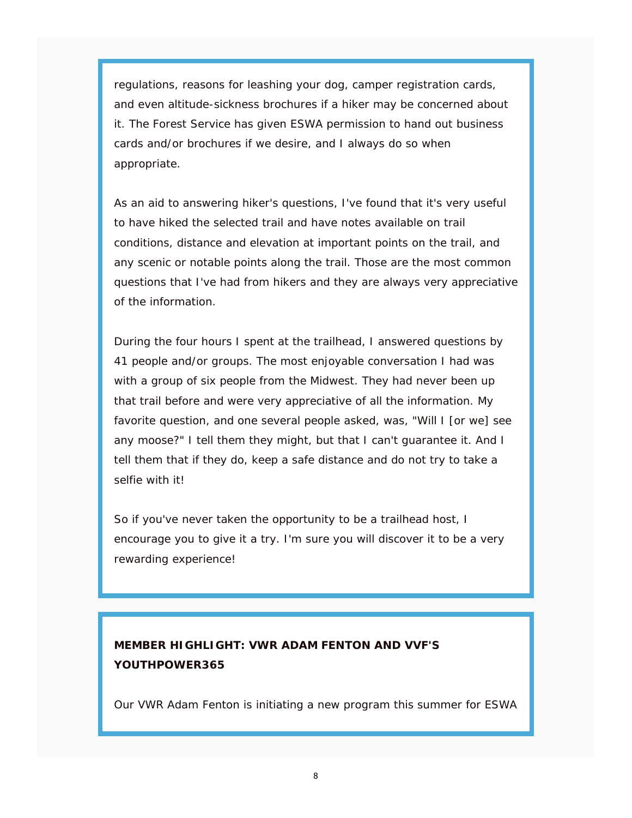regulations, reasons for leashing your dog, camper registration cards, and even altitude-sickness brochures if a hiker may be concerned about it. The Forest Service has given ESWA permission to hand out business cards and/or brochures if we desire, and I always do so when appropriate.

As an aid to answering hiker's questions, I've found that it's very useful to have hiked the selected trail and have notes available on trail conditions, distance and elevation at important points on the trail, and any scenic or notable points along the trail. Those are the most common questions that I've had from hikers and they are always very appreciative of the information.

During the four hours I spent at the trailhead, I answered questions by 41 people and/or groups. The most enjoyable conversation I had was with a group of six people from the Midwest. They had never been up that trail before and were very appreciative of all the information. My favorite question, and one several people asked, was, "Will I [or we] see any moose?" I tell them they might, but that I can't guarantee it. And I tell them that if they do, keep a safe distance and do not try to take a selfie with it!

So if you've never taken the opportunity to be a trailhead host, I encourage you to give it a try. I'm sure you will discover it to be a very rewarding experience!

## **MEMBER HIGHLIGHT: VWR ADAM FENTON AND VVF'S YOUTHPOWER365**

Our VWR Adam Fenton is initiating a new program this summer for ESWA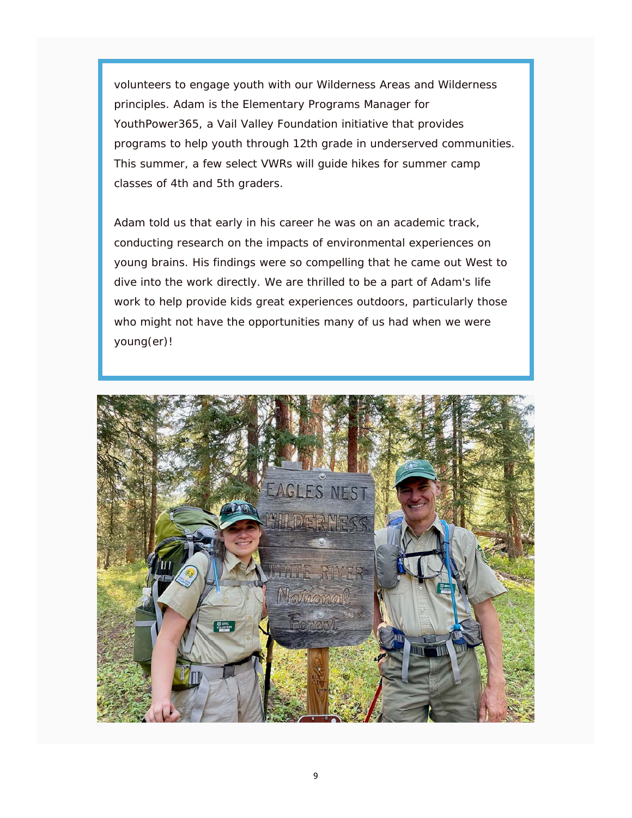volunteers to engage youth with our Wilderness Areas and Wilderness principles. Adam is the Elementary Programs Manager for YouthPower365, a Vail Valley Foundation initiative that provides programs to help youth through 12th grade in underserved communities. This summer, a few select VWRs will guide hikes for summer camp classes of 4th and 5th graders.

Adam told us that early in his career he was on an academic track, conducting research on the impacts of environmental experiences on young brains. His findings were so compelling that he came out West to dive into the work directly. We are thrilled to be a part of Adam's life work to help provide kids great experiences outdoors, particularly those who might not have the opportunities many of us had when we were young(er)!

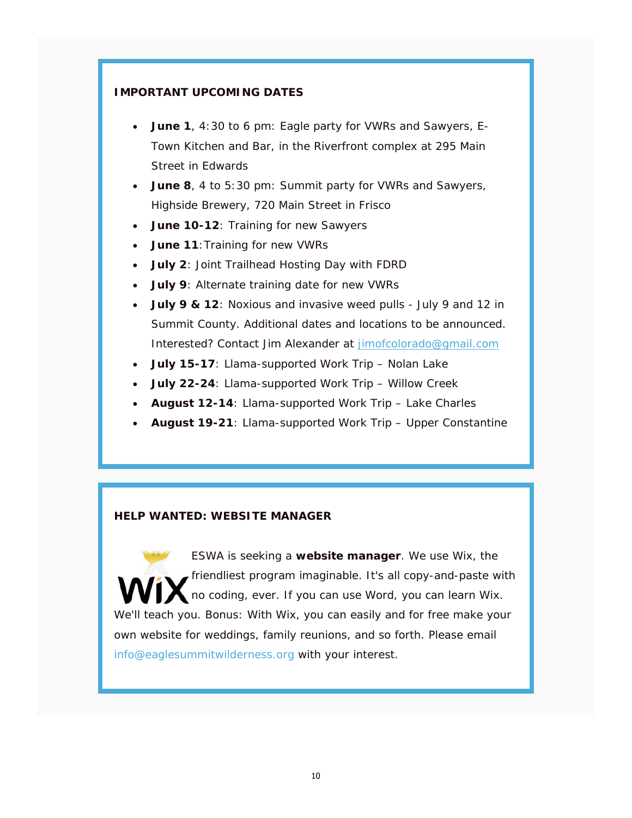#### **IMPORTANT UPCOMING DATES**

- **June 1**, 4:30 to 6 pm: Eagle party for VWRs and Sawyers, E-Town Kitchen and Bar, in the Riverfront complex at 295 Main Street in Edwards
- **June 8**, 4 to 5:30 pm: Summit party for VWRs and Sawyers, Highside Brewery, 720 Main Street in Frisco
- **June 10-12**: Training for new Sawyers
- **June 11: Training for new VWRs**
- **July 2**: Joint Trailhead Hosting Day with FDRD
- **July 9**: Alternate training date for new VWRs
- **July 9 & 12**: Noxious and invasive weed pulls July 9 and 12 in Summit County. Additional dates and locations to be announced. Interested? Contact Jim Alexander at jimofcolorado@gmail.com
- **July 15-17**: Llama-supported Work Trip Nolan Lake
- **July 22-24**: Llama-supported Work Trip Willow Creek
- **August 12-14**: Llama-supported Work Trip Lake Charles
- **August 19-21**: Llama-supported Work Trip Upper Constantine

#### **HELP WANTED: WEBSITE MANAGER**

ESWA is seeking a **website manager**. We use Wix, the friendliest program imaginable. It's all copy-and-paste with no coding, ever. If you can use Word, you can learn Wix. We'll teach you. Bonus: With Wix, you can easily and for free make your own website for weddings, family reunions, and so forth. Please email info@eaglesummitwilderness.org with your interest.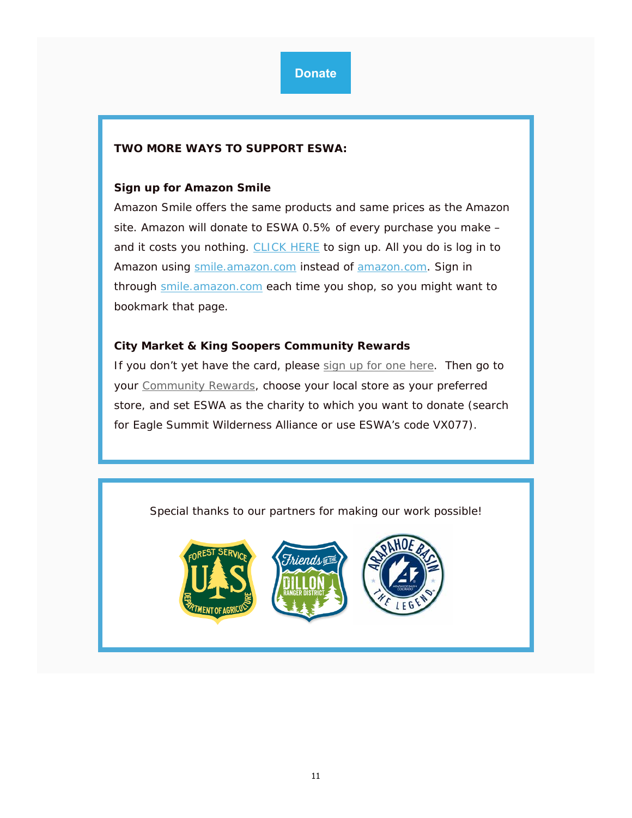### **TWO MORE WAYS TO SUPPORT ESWA:**

#### **Sign up for Amazon Smile**

Amazon Smile offers the same products and same prices as the Amazon site. Amazon will donate to ESWA 0.5% of every purchase you make – and it costs you nothing. CLICK HERE to sign up. All you do is log in to Amazon using smile.amazon.com instead of amazon.com. Sign in through smile.amazon.com each time you shop, so you might want to bookmark that page.

#### **City Market & King Soopers Community Rewards**

If you don't yet have the card, please sign up for one here. Then go to your Community Rewards, choose your local store as your preferred store, and set ESWA as the charity to which you want to donate (search for Eagle Summit Wilderness Alliance or use ESWA's code VX077).

Special thanks to our partners for making our work possible!